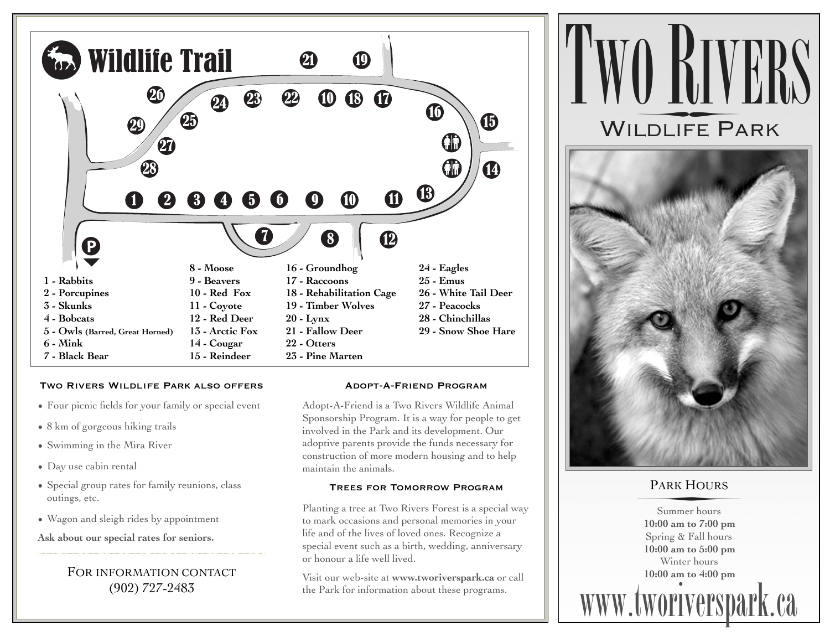

#### Two Rivers Wildlife Park also offers

- Four picnic fields for your family or special event
- 8 km of gorgeous hiking trails
- Swimming in the Mira River
- Day use cabin rental
- Special group rates for family reunions, class outings, etc.
- Wagon and sleigh rides by appointment

**Ask about our special rates for seniors.**

## FOR INFORMATION CONTACT (902) 727-2483

#### Adopt-A-Friend Program

Adopt-A-Friend is a Two Rivers Wildlife Animal Sponsorship Program. It is a way for people to get involved in the Park and its development. Our adoptive parents provide the funds necessary for construction of more modern housing and to help maintain the animals.

### Trees for Tomorrow Program

Planting a tree at Two Rivers Forest is a special way to mark occasions and personal memories in your life and of the lives of loved ones. Recognize a special event such as a birth, wedding, anniversary or honour a life well lived.

Visit our web-site at **www.tworiverspark.ca** or call the Park for information about these programs.



# PARK HOURS PARK HOURS

Summer hours **10:00 am to 7:00 pm** Spring & Fall hours **10:00 am to 5:00 pm** Winter hours **10:00 am to 4:00 pm**

**www.tworiverspark.ca**